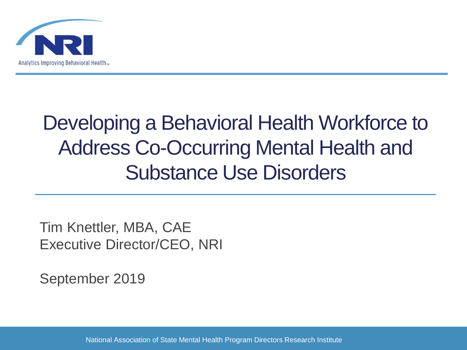

# Developing a Behavioral Health Workforce to Address Co-Occurring Mental Health and Substance Use Disorders

Tim Knettler, MBA, CAE Executive Director/CEO, NRI

September 2019

National Association of State Mental Health Program Directors Research Institute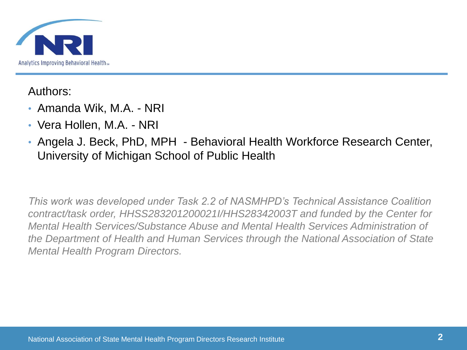

Authors:

- Amanda Wik, M.A. NRI
- Vera Hollen, M.A. NRI
- Angela J. Beck, PhD, MPH Behavioral Health Workforce Research Center, University of Michigan School of Public Health

*This work was developed under Task 2.2 of NASMHPD's Technical Assistance Coalition contract/task order, HHSS283201200021I/HHS28342003T and funded by the Center for Mental Health Services/Substance Abuse and Mental Health Services Administration of the Department of Health and Human Services through the National Association of State Mental Health Program Directors.*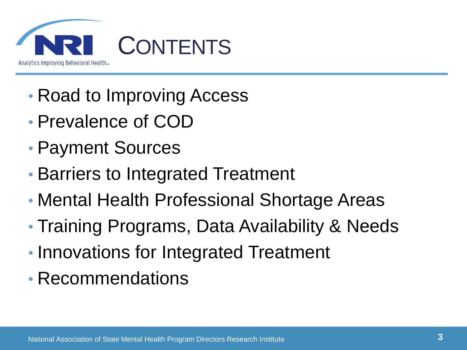

- Road to Improving Access
- Prevalence of COD
- Payment Sources
- Barriers to Integrated Treatment
- Mental Health Professional Shortage Areas
- Training Programs, Data Availability & Needs
- Innovations for Integrated Treatment
- Recommendations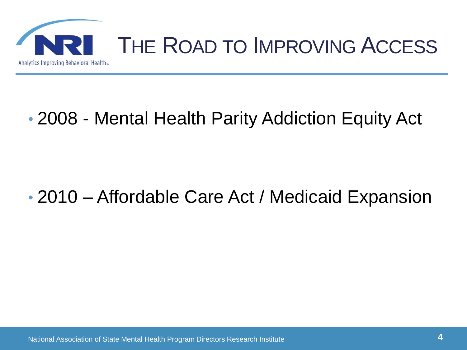

### • 2008 - Mental Health Parity Addiction Equity Act

### • 2010 – Affordable Care Act / Medicaid Expansion

National Association of State Mental Health Program Directors Research Institute **4**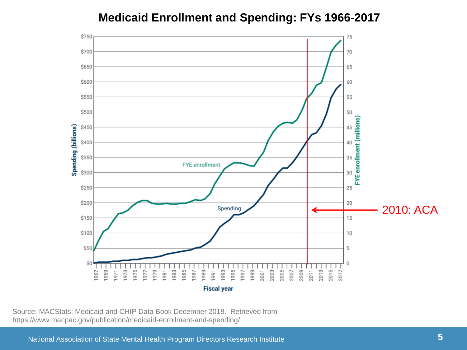#### **Medicaid Enrollment and Spending: FYs 1966-2017**



Source: MACStats: Medicaid and CHIP Data Book December 2018. Retrieved from https://www.macpac.gov/publication/medicaid-enrollment-and-spending/

National Association of State Mental Health Program Directors Research Institute **5**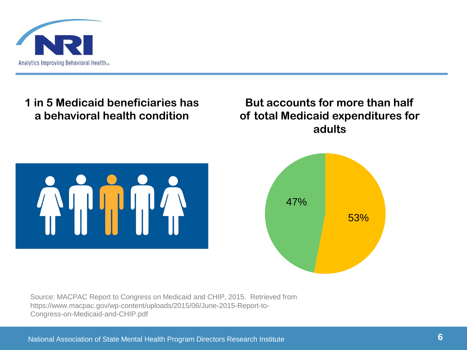

**1 in 5 Medicaid beneficiaries has a behavioral health condition**

#### **But accounts for more than half of total Medicaid expenditures for adults**





Source: MACPAC Report to Congress on Medicaid and CHIP, 2015. Retrieved from https://www.macpac.gov/wp-content/uploads/2015/06/June-2015-Report-to-Congress-on-Medicaid-and-CHIP.pdf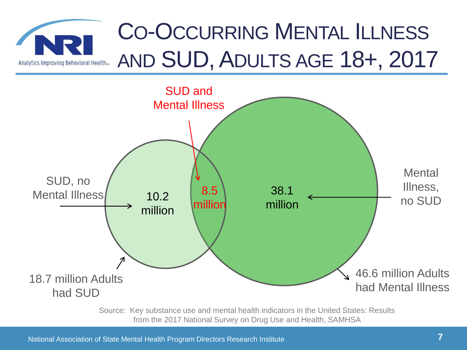### CO-OCCURRING MENTAL ILLNESS AND SUD, ADULTS AGE 18+, 2017 Analytics Improving Behavioral Healths



Source: Key substance use and mental health indicators in the United States: Results from the 2017 National Survey on Drug Use and Health, SAMHSA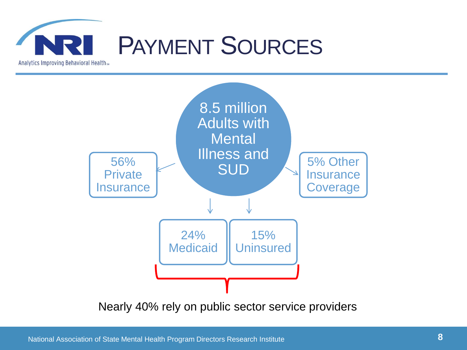



Nearly 40% rely on public sector service providers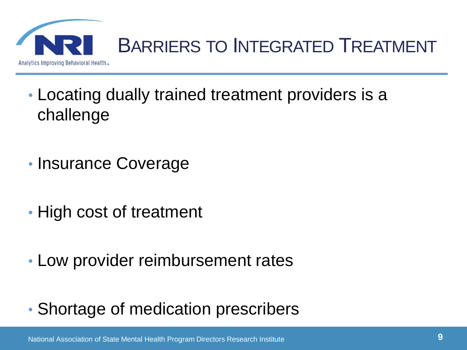

- Locating dually trained treatment providers is a challenge
- Insurance Coverage
- High cost of treatment
- Low provider reimbursement rates
- Shortage of medication prescribers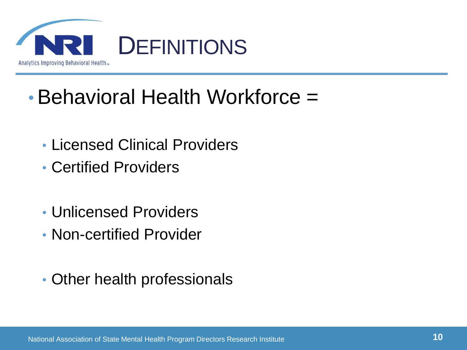

## • Behavioral Health Workforce =

- Licensed Clinical Providers
- Certified Providers
- Unlicensed Providers
- Non-certified Provider
- Other health professionals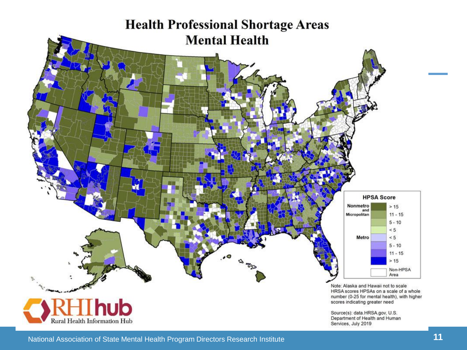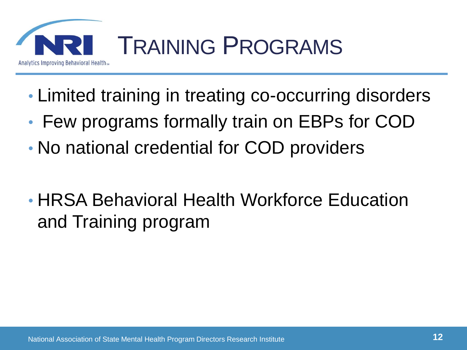![](_page_11_Picture_0.jpeg)

- Limited training in treating co-occurring disorders
- Few programs formally train on EBPs for COD
- No national credential for COD providers
- HRSA Behavioral Health Workforce Education and Training program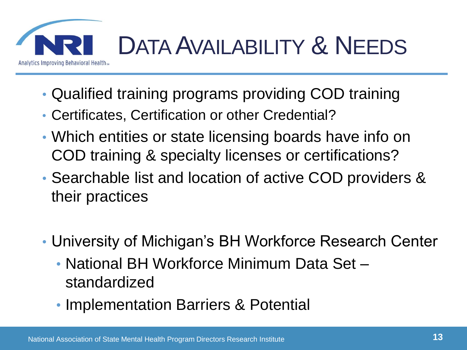![](_page_12_Picture_0.jpeg)

- Qualified training programs providing COD training
- Certificates, Certification or other Credential?
- Which entities or state licensing boards have info on COD training & specialty licenses or certifications?
- Searchable list and location of active COD providers & their practices
- University of Michigan's BH Workforce Research Center
	- National BH Workforce Minimum Data Set standardized
	- Implementation Barriers & Potential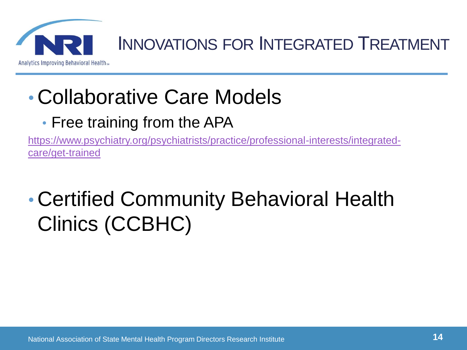![](_page_13_Picture_0.jpeg)

### INNOVATIONS FOR INTEGRATED TREATMENT

## • Collaborative Care Models

• Free training from the APA

[https://www.psychiatry.org/psychiatrists/practice/professional-interests/integrated](https://www.psychiatry.org/psychiatrists/practice/professional-interests/integrated-care/get-trained)care/get-trained

# • Certified Community Behavioral Health Clinics (CCBHC)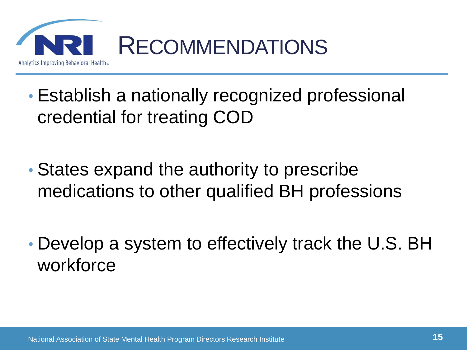![](_page_14_Picture_0.jpeg)

- Establish a nationally recognized professional credential for treating COD
- States expand the authority to prescribe medications to other qualified BH professions
- Develop a system to effectively track the U.S. BH workforce